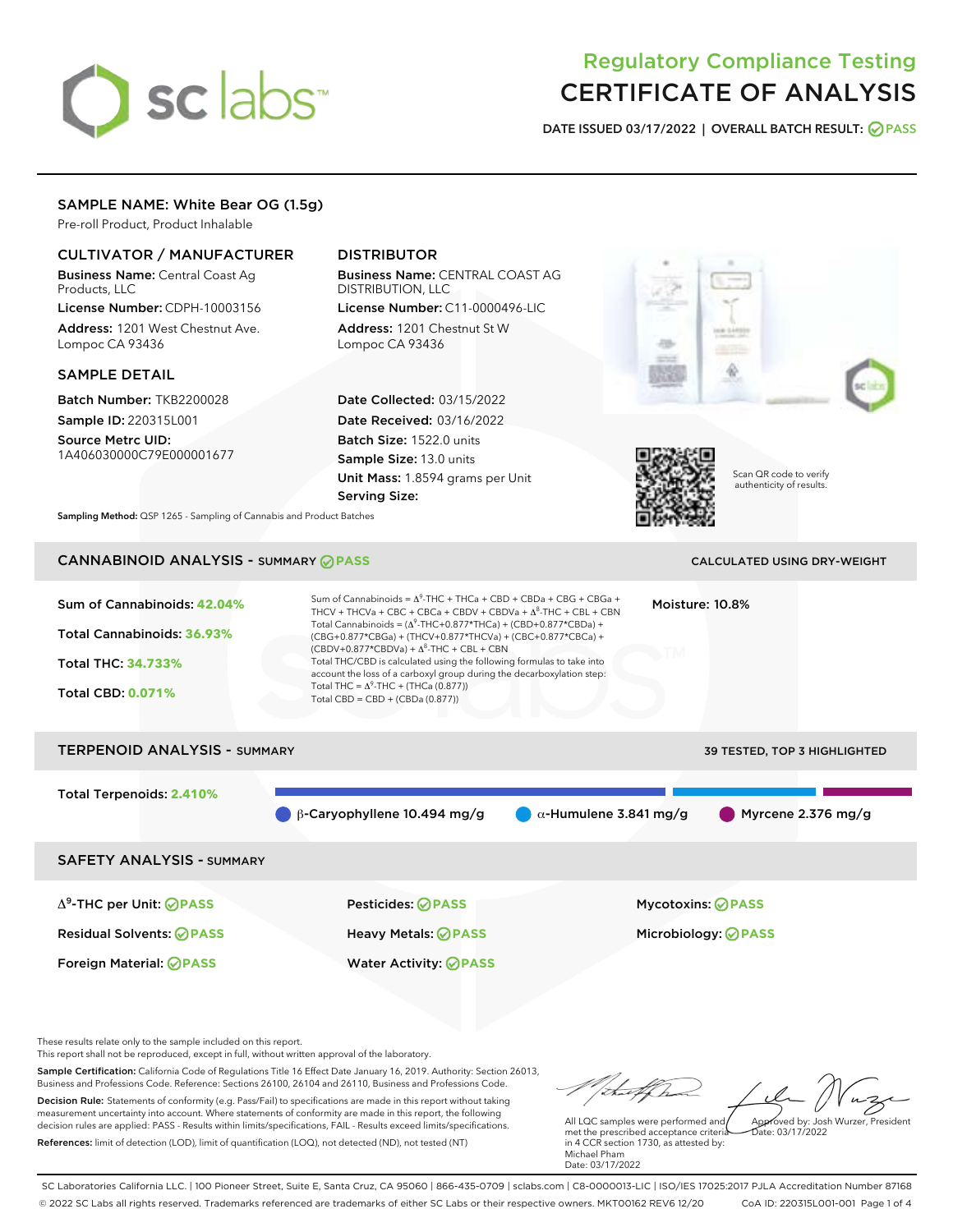# sclabs<sup>\*</sup>

# Regulatory Compliance Testing CERTIFICATE OF ANALYSIS

DATE ISSUED 03/17/2022 | OVERALL BATCH RESULT: @ PASS

# SAMPLE NAME: White Bear OG (1.5g)

Pre-roll Product, Product Inhalable

# CULTIVATOR / MANUFACTURER

Business Name: Central Coast Ag Products, LLC License Number: CDPH-10003156

Address: 1201 West Chestnut Ave. Lompoc CA 93436

#### SAMPLE DETAIL

Batch Number: TKB2200028 Sample ID: 220315L001

Source Metrc UID: 1A406030000C79E000001677

# DISTRIBUTOR

Business Name: CENTRAL COAST AG DISTRIBUTION, LLC

License Number: C11-0000496-LIC Address: 1201 Chestnut St W Lompoc CA 93436

Date Collected: 03/15/2022 Date Received: 03/16/2022 Batch Size: 1522.0 units Sample Size: 13.0 units Unit Mass: 1.8594 grams per Unit Serving Size:





Scan QR code to verify authenticity of results.

Sampling Method: QSP 1265 - Sampling of Cannabis and Product Batches

# CANNABINOID ANALYSIS - SUMMARY **PASS** CALCULATED USING DRY-WEIGHT

# Sum of Cannabinoids: **42.04%** Total Cannabinoids: **36.93%** Total THC: **34.733%** Total CBD: **0.071%** Sum of Cannabinoids =  $\Delta^9$ -THC + THCa + CBD + CBDa + CBG + CBGa + THCV + THCVa + CBC + CBCa + CBDV + CBDVa +  $\Delta^8$ -THC + CBL + CBN Total Cannabinoids = ( $\Delta^9$ -THC+0.877\*THCa) + (CBD+0.877\*CBDa) + (CBG+0.877\*CBGa) + (THCV+0.877\*THCVa) + (CBC+0.877\*CBCa) +  $(CBDV+0.877*CBDVa) + \Delta^8$ -THC + CBL + CBN Total THC/CBD is calculated using the following formulas to take into account the loss of a carboxyl group during the decarboxylation step: Total THC =  $\Delta^9$ -THC + (THCa (0.877)) Total CBD = CBD + (CBDa (0.877)) Moisture: 10.8% TERPENOID ANALYSIS - SUMMARY 39 TESTED, TOP 3 HIGHLIGHTED Total Terpenoids: **2.410%**  $\theta$  β-Caryophyllene 10.494 mg/g  $\theta$  α-Humulene 3.841 mg/g Myrcene 2.376 mg/g SAFETY ANALYSIS - SUMMARY Δ9-THC per Unit: **PASS** Pesticides: **PASS** Mycotoxins: **PASS** Residual Solvents: **PASS** Heavy Metals: **PASS** Microbiology: **PASS**

These results relate only to the sample included on this report.

This report shall not be reproduced, except in full, without written approval of the laboratory.

Sample Certification: California Code of Regulations Title 16 Effect Date January 16, 2019. Authority: Section 26013, Business and Professions Code. Reference: Sections 26100, 26104 and 26110, Business and Professions Code. Decision Rule: Statements of conformity (e.g. Pass/Fail) to specifications are made in this report without taking measurement uncertainty into account. Where statements of conformity are made in this report, the following decision rules are applied: PASS - Results within limits/specifications, FAIL - Results exceed limits/specifications.

Foreign Material: **PASS** Water Activity: **PASS**

References: limit of detection (LOD), limit of quantification (LOQ), not detected (ND), not tested (NT)

Approved by: Josh Wurzer, President

Date: 03/17/2022

All LQC samples were performed and met the prescribed acceptance criteria in 4 CCR section 1730, as attested by: Michael Pham Date: 03/17/2022

SC Laboratories California LLC. | 100 Pioneer Street, Suite E, Santa Cruz, CA 95060 | 866-435-0709 | sclabs.com | C8-0000013-LIC | ISO/IES 17025:2017 PJLA Accreditation Number 87168 © 2022 SC Labs all rights reserved. Trademarks referenced are trademarks of either SC Labs or their respective owners. MKT00162 REV6 12/20 CoA ID: 220315L001-001 Page 1 of 4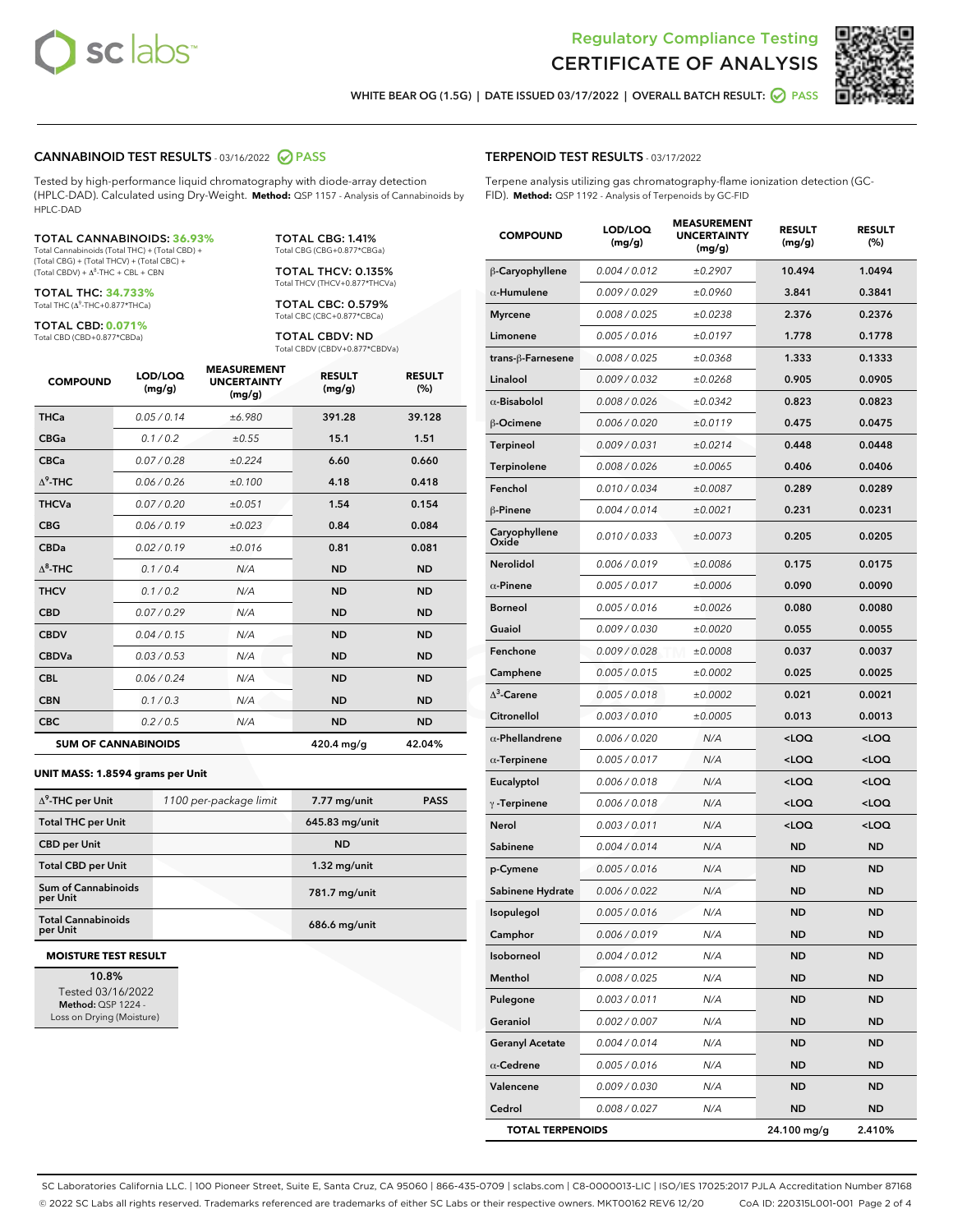



WHITE BEAR OG (1.5G) | DATE ISSUED 03/17/2022 | OVERALL BATCH RESULT: **O PASS** 

#### CANNABINOID TEST RESULTS - 03/16/2022 2 PASS

Tested by high-performance liquid chromatography with diode-array detection (HPLC-DAD). Calculated using Dry-Weight. **Method:** QSP 1157 - Analysis of Cannabinoids by HPLC-DAD

#### TOTAL CANNABINOIDS: **36.93%**

Total Cannabinoids (Total THC) + (Total CBD) + (Total CBG) + (Total THCV) + (Total CBC) +  $(Total CBDV) +  $\Delta^8$ -THC + CBL + CBN$ 

TOTAL THC: **34.733%** Total THC (Δ<sup>9</sup> -THC+0.877\*THCa)

TOTAL CBD: **0.071%** Total CBD (CBD+0.877\*CBDa)

TOTAL CBG: 1.41% Total CBG (CBG+0.877\*CBGa)

TOTAL THCV: 0.135% Total THCV (THCV+0.877\*THCVa)

TOTAL CBC: 0.579% Total CBC (CBC+0.877\*CBCa)

TOTAL CBDV: ND Total CBDV (CBDV+0.877\*CBDVa)

| <b>COMPOUND</b>  | LOD/LOQ<br>(mg/g)          | <b>MEASUREMENT</b><br><b>UNCERTAINTY</b><br>(mg/g) | <b>RESULT</b><br>(mg/g) | <b>RESULT</b><br>(%) |
|------------------|----------------------------|----------------------------------------------------|-------------------------|----------------------|
| <b>THCa</b>      | 0.05 / 0.14                | ±6.980                                             | 391.28                  | 39.128               |
| <b>CBGa</b>      | 0.1 / 0.2                  | ±0.55                                              | 15.1                    | 1.51                 |
| <b>CBCa</b>      | 0.07/0.28                  | ±0.224                                             | 6.60                    | 0.660                |
| $\Lambda^9$ -THC | 0.06 / 0.26                | ±0.100                                             | 4.18                    | 0.418                |
| <b>THCVa</b>     | 0.07/0.20                  | ±0.051                                             | 1.54                    | 0.154                |
| <b>CBG</b>       | 0.06/0.19                  | ±0.023                                             | 0.84                    | 0.084                |
| <b>CBDa</b>      | 0.02 / 0.19                | ±0.016                                             | 0.81                    | 0.081                |
| $\Lambda^8$ -THC | 0.1/0.4                    | N/A                                                | <b>ND</b>               | <b>ND</b>            |
| <b>THCV</b>      | 0.1/0.2                    | N/A                                                | <b>ND</b>               | <b>ND</b>            |
| <b>CBD</b>       | 0.07/0.29                  | N/A                                                | <b>ND</b>               | <b>ND</b>            |
| <b>CBDV</b>      | 0.04 / 0.15                | N/A                                                | <b>ND</b>               | <b>ND</b>            |
| <b>CBDVa</b>     | 0.03 / 0.53                | N/A                                                | <b>ND</b>               | <b>ND</b>            |
| <b>CBL</b>       | 0.06 / 0.24                | N/A                                                | <b>ND</b>               | <b>ND</b>            |
| <b>CBN</b>       | 0.1/0.3                    | N/A                                                | <b>ND</b>               | <b>ND</b>            |
| <b>CBC</b>       | 0.2 / 0.5                  | N/A                                                | <b>ND</b>               | <b>ND</b>            |
|                  | <b>SUM OF CANNABINOIDS</b> |                                                    | 420.4 mg/g              | 42.04%               |

#### **UNIT MASS: 1.8594 grams per Unit**

| $\Delta^9$ -THC per Unit               | 1100 per-package limit | 7.77 mg/unit    | <b>PASS</b> |
|----------------------------------------|------------------------|-----------------|-------------|
| <b>Total THC per Unit</b>              |                        | 645.83 mg/unit  |             |
| <b>CBD per Unit</b>                    |                        | <b>ND</b>       |             |
| <b>Total CBD per Unit</b>              |                        | $1.32$ mg/unit  |             |
| <b>Sum of Cannabinoids</b><br>per Unit |                        | 781.7 mg/unit   |             |
| <b>Total Cannabinoids</b><br>per Unit  |                        | $686.6$ mg/unit |             |

#### **MOISTURE TEST RESULT**

10.8% Tested 03/16/2022 Method: QSP 1224 - Loss on Drying (Moisture)

#### TERPENOID TEST RESULTS - 03/17/2022

Terpene analysis utilizing gas chromatography-flame ionization detection (GC-FID). **Method:** QSP 1192 - Analysis of Terpenoids by GC-FID

| <b>COMPOUND</b>         | LOD/LOQ<br>(mg/g) | <b>MEASUREMENT</b><br><b>UNCERTAINTY</b><br>(mg/g) | <b>RESULT</b><br>(mg/g)                         | <b>RESULT</b><br>(%) |
|-------------------------|-------------------|----------------------------------------------------|-------------------------------------------------|----------------------|
| β-Caryophyllene         | 0.004 / 0.012     | ±0.2907                                            | 10.494                                          | 1.0494               |
| $\alpha$ -Humulene      | 0.009 / 0.029     | ±0.0960                                            | 3.841                                           | 0.3841               |
| <b>Myrcene</b>          | 0.008 / 0.025     | ±0.0238                                            | 2.376                                           | 0.2376               |
| Limonene                | 0.005 / 0.016     | ±0.0197                                            | 1.778                                           | 0.1778               |
| trans-ß-Farnesene       | 0.008 / 0.025     | ±0.0368                                            | 1.333                                           | 0.1333               |
| Linalool                | 0.009 / 0.032     | ±0.0268                                            | 0.905                                           | 0.0905               |
| $\alpha$ -Bisabolol     | 0.008 / 0.026     | ±0.0342                                            | 0.823                                           | 0.0823               |
| β-Ocimene               | 0.006 / 0.020     | ±0.0119                                            | 0.475                                           | 0.0475               |
| Terpineol               | 0.009 / 0.031     | ±0.0214                                            | 0.448                                           | 0.0448               |
| Terpinolene             | 0.008 / 0.026     | ±0.0065                                            | 0.406                                           | 0.0406               |
| Fenchol                 | 0.010 / 0.034     | ±0.0087                                            | 0.289                                           | 0.0289               |
| β-Pinene                | 0.004 / 0.014     | ±0.0021                                            | 0.231                                           | 0.0231               |
| Caryophyllene<br>Oxide  | 0.010 / 0.033     | ±0.0073                                            | 0.205                                           | 0.0205               |
| Nerolidol               | 0.006 / 0.019     | ±0.0086                                            | 0.175                                           | 0.0175               |
| $\alpha$ -Pinene        | 0.005 / 0.017     | ±0.0006                                            | 0.090                                           | 0.0090               |
| <b>Borneol</b>          | 0.005 / 0.016     | ±0.0026                                            | 0.080                                           | 0.0080               |
| Guaiol                  | 0.009 / 0.030     | ±0.0020                                            | 0.055                                           | 0.0055               |
| Fenchone                | 0.009 / 0.028     | ±0.0008                                            | 0.037                                           | 0.0037               |
| Camphene                | 0.005 / 0.015     | ±0.0002                                            | 0.025                                           | 0.0025               |
| $\Delta^3$ -Carene      | 0.005 / 0.018     | ±0.0002                                            | 0.021                                           | 0.0021               |
| <b>Citronellol</b>      | 0.003 / 0.010     | ±0.0005                                            | 0.013                                           | 0.0013               |
| $\alpha$ -Phellandrene  | 0.006 / 0.020     | N/A                                                | <loq< th=""><th><loq< th=""></loq<></th></loq<> | <loq< th=""></loq<>  |
| $\alpha$ -Terpinene     | 0.005 / 0.017     | N/A                                                | <loq< th=""><th><loq< th=""></loq<></th></loq<> | <loq< th=""></loq<>  |
| Eucalyptol              | 0.006 / 0.018     | N/A                                                | <loq< th=""><th><loq< th=""></loq<></th></loq<> | <loq< th=""></loq<>  |
| $\gamma$ -Terpinene     | 0.006 / 0.018     | N/A                                                | <loq< th=""><th><loq< th=""></loq<></th></loq<> | <loq< th=""></loq<>  |
| Nerol                   | 0.003 / 0.011     | N/A                                                | <loq< th=""><th><loq< th=""></loq<></th></loq<> | <loq< th=""></loq<>  |
| Sabinene                | 0.004 / 0.014     | N/A                                                | <b>ND</b>                                       | <b>ND</b>            |
| p-Cymene                | 0.005 / 0.016     | N/A                                                | ND                                              | <b>ND</b>            |
| Sabinene Hydrate        | 0.006 / 0.022     | N/A                                                | ND                                              | ND                   |
| Isopulegol              | 0.005 / 0.016     | N/A                                                | <b>ND</b>                                       | <b>ND</b>            |
| Camphor                 | 0.006 / 0.019     | N/A                                                | ND                                              | ND                   |
| Isoborneol              | 0.004 / 0.012     | N/A                                                | ND                                              | ND                   |
| Menthol                 | 0.008 / 0.025     | N/A                                                | ND                                              | ND                   |
| Pulegone                | 0.003 / 0.011     | N/A                                                | ND                                              | ND                   |
| Geraniol                | 0.002 / 0.007     | N/A                                                | ND                                              | ND                   |
| <b>Geranyl Acetate</b>  | 0.004 / 0.014     | N/A                                                | ND                                              | ND                   |
| $\alpha$ -Cedrene       | 0.005 / 0.016     | N/A                                                | ND                                              | ND                   |
| Valencene               | 0.009 / 0.030     | N/A                                                | ND                                              | ND                   |
| Cedrol                  | 0.008 / 0.027     | N/A                                                | ND                                              | ND                   |
| <b>TOTAL TERPENOIDS</b> |                   |                                                    | 24.100 mg/g                                     | 2.410%               |

SC Laboratories California LLC. | 100 Pioneer Street, Suite E, Santa Cruz, CA 95060 | 866-435-0709 | sclabs.com | C8-0000013-LIC | ISO/IES 17025:2017 PJLA Accreditation Number 87168 © 2022 SC Labs all rights reserved. Trademarks referenced are trademarks of either SC Labs or their respective owners. MKT00162 REV6 12/20 CoA ID: 220315L001-001 Page 2 of 4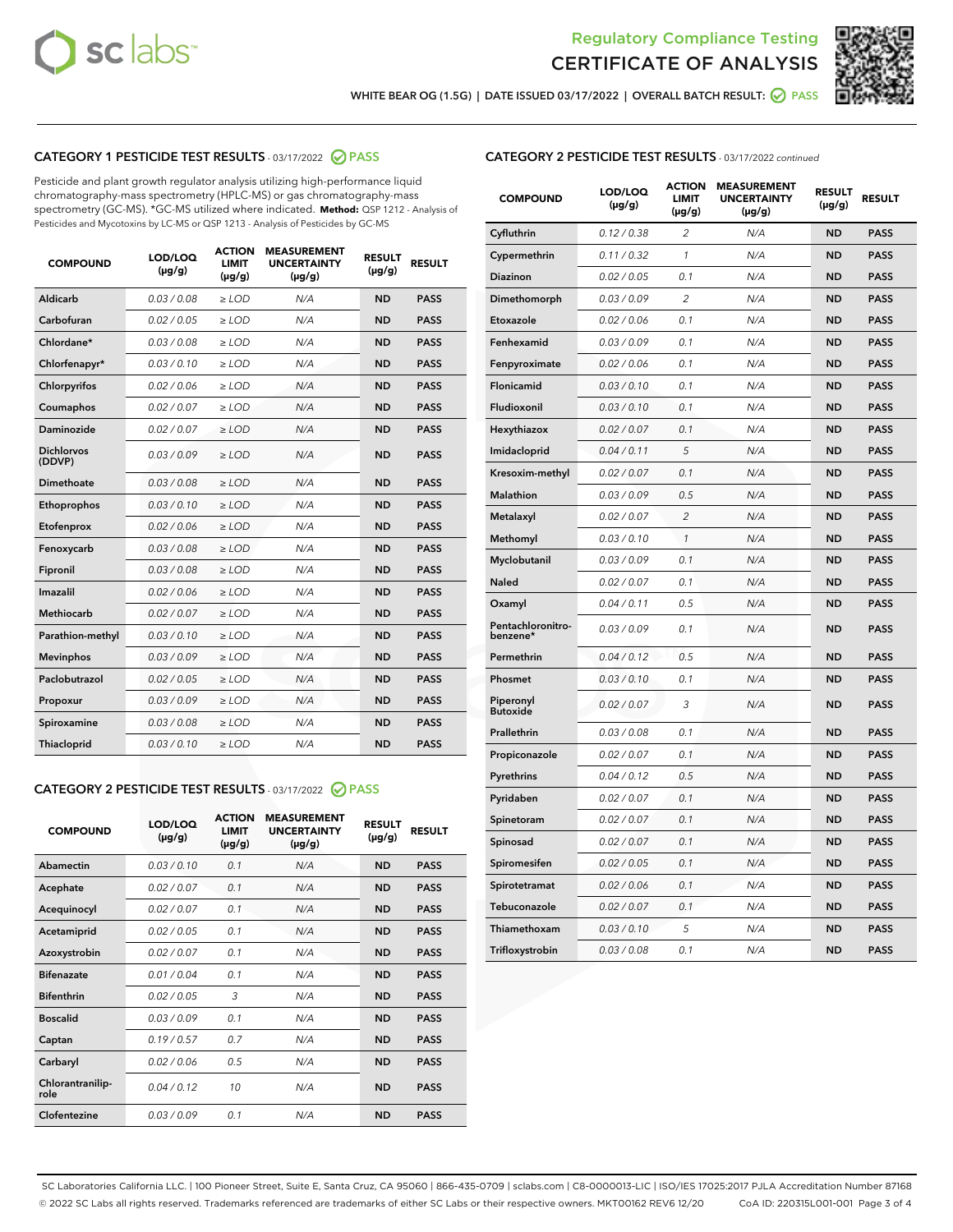



WHITE BEAR OG (1.5G) | DATE ISSUED 03/17/2022 | OVERALL BATCH RESULT:  $\bigcirc$  PASS

## CATEGORY 1 PESTICIDE TEST RESULTS - 03/17/2022 2 PASS

Pesticide and plant growth regulator analysis utilizing high-performance liquid chromatography-mass spectrometry (HPLC-MS) or gas chromatography-mass spectrometry (GC-MS). \*GC-MS utilized where indicated. **Method:** QSP 1212 - Analysis of Pesticides and Mycotoxins by LC-MS or QSP 1213 - Analysis of Pesticides by GC-MS

| <b>COMPOUND</b>             | LOD/LOQ<br>$(\mu g/g)$ | <b>ACTION</b><br>LIMIT<br>$(\mu g/g)$ | <b>MEASUREMENT</b><br><b>UNCERTAINTY</b><br>$(\mu g/g)$ | <b>RESULT</b><br>$(\mu g/g)$ | <b>RESULT</b> |
|-----------------------------|------------------------|---------------------------------------|---------------------------------------------------------|------------------------------|---------------|
| <b>Aldicarb</b>             | 0.03 / 0.08            | $\geq$ LOD                            | N/A                                                     | <b>ND</b>                    | <b>PASS</b>   |
| Carbofuran                  | 0.02 / 0.05            | $\ge$ LOD                             | N/A                                                     | <b>ND</b>                    | <b>PASS</b>   |
| Chlordane*                  | 0.03/0.08              | $>$ LOD                               | N/A                                                     | <b>ND</b>                    | <b>PASS</b>   |
| Chlorfenapyr*               | 0.03/0.10              | $>$ LOD                               | N/A                                                     | <b>ND</b>                    | <b>PASS</b>   |
| Chlorpyrifos                | 0.02 / 0.06            | $>$ LOD                               | N/A                                                     | <b>ND</b>                    | <b>PASS</b>   |
| Coumaphos                   | 0.02 / 0.07            | $\geq$ LOD                            | N/A                                                     | <b>ND</b>                    | <b>PASS</b>   |
| <b>Daminozide</b>           | 0.02 / 0.07            | $\ge$ LOD                             | N/A                                                     | <b>ND</b>                    | <b>PASS</b>   |
| <b>Dichlorvos</b><br>(DDVP) | 0.03/0.09              | $\geq$ LOD                            | N/A                                                     | <b>ND</b>                    | <b>PASS</b>   |
| Dimethoate                  | 0.03 / 0.08            | $>$ LOD                               | N/A                                                     | <b>ND</b>                    | <b>PASS</b>   |
| Ethoprophos                 | 0.03/0.10              | $\geq$ LOD                            | N/A                                                     | <b>ND</b>                    | <b>PASS</b>   |
| Etofenprox                  | 0.02 / 0.06            | > LOD                                 | N/A                                                     | <b>ND</b>                    | <b>PASS</b>   |
| Fenoxycarb                  | 0.03 / 0.08            | $\geq$ LOD                            | N/A                                                     | <b>ND</b>                    | <b>PASS</b>   |
| Fipronil                    | 0.03 / 0.08            | $\ge$ LOD                             | N/A                                                     | <b>ND</b>                    | <b>PASS</b>   |
| Imazalil                    | 0.02 / 0.06            | $\ge$ LOD                             | N/A                                                     | <b>ND</b>                    | <b>PASS</b>   |
| <b>Methiocarb</b>           | 0.02 / 0.07            | $\ge$ LOD                             | N/A                                                     | <b>ND</b>                    | <b>PASS</b>   |
| Parathion-methyl            | 0.03/0.10              | > LOD                                 | N/A                                                     | <b>ND</b>                    | <b>PASS</b>   |
| <b>Mevinphos</b>            | 0.03/0.09              | $\ge$ LOD                             | N/A                                                     | <b>ND</b>                    | <b>PASS</b>   |
| Paclobutrazol               | 0.02 / 0.05            | $\ge$ LOD                             | N/A                                                     | <b>ND</b>                    | <b>PASS</b>   |
| Propoxur                    | 0.03 / 0.09            | $\geq$ LOD                            | N/A                                                     | <b>ND</b>                    | <b>PASS</b>   |
| Spiroxamine                 | 0.03 / 0.08            | $\ge$ LOD                             | N/A                                                     | <b>ND</b>                    | <b>PASS</b>   |
| Thiacloprid                 | 0.03/0.10              | $>$ LOD                               | N/A                                                     | <b>ND</b>                    | <b>PASS</b>   |

### CATEGORY 2 PESTICIDE TEST RESULTS - 03/17/2022 @ PASS

| <b>COMPOUND</b>          | LOD/LOQ<br>$(\mu g/g)$ | <b>ACTION</b><br><b>LIMIT</b><br>$(\mu g/g)$ | <b>MEASUREMENT</b><br><b>UNCERTAINTY</b><br>$(\mu g/g)$ | <b>RESULT</b><br>$(\mu g/g)$ | <b>RESULT</b> |
|--------------------------|------------------------|----------------------------------------------|---------------------------------------------------------|------------------------------|---------------|
| Abamectin                | 0.03/0.10              | 0.1                                          | N/A                                                     | <b>ND</b>                    | <b>PASS</b>   |
| Acephate                 | 0.02/0.07              | 0.1                                          | N/A                                                     | <b>ND</b>                    | <b>PASS</b>   |
| Acequinocyl              | 0.02/0.07              | 0.1                                          | N/A                                                     | <b>ND</b>                    | <b>PASS</b>   |
| Acetamiprid              | 0.02/0.05              | 0.1                                          | N/A                                                     | <b>ND</b>                    | <b>PASS</b>   |
| Azoxystrobin             | 0.02 / 0.07            | 0.1                                          | N/A                                                     | <b>ND</b>                    | <b>PASS</b>   |
| <b>Bifenazate</b>        | 0.01/0.04              | 0.1                                          | N/A                                                     | <b>ND</b>                    | <b>PASS</b>   |
| <b>Bifenthrin</b>        | 0.02 / 0.05            | 3                                            | N/A                                                     | <b>ND</b>                    | <b>PASS</b>   |
| <b>Boscalid</b>          | 0.03/0.09              | 0.1                                          | N/A                                                     | <b>ND</b>                    | <b>PASS</b>   |
| Captan                   | 0.19/0.57              | 0.7                                          | N/A                                                     | <b>ND</b>                    | <b>PASS</b>   |
| Carbaryl                 | 0.02/0.06              | 0.5                                          | N/A                                                     | <b>ND</b>                    | <b>PASS</b>   |
| Chlorantranilip-<br>role | 0.04/0.12              | 10                                           | N/A                                                     | <b>ND</b>                    | <b>PASS</b>   |
| Clofentezine             | 0.03/0.09              | 0.1                                          | N/A                                                     | <b>ND</b>                    | <b>PASS</b>   |

| <b>COMPOUND</b>               | LOD/LOQ<br>(µg/g) | <b>ACTION</b><br><b>LIMIT</b><br>$(\mu g/g)$ | <b>MEASUREMENT</b><br><b>UNCERTAINTY</b><br>$(\mu g/g)$ | <b>RESULT</b><br>(µg/g) | <b>RESULT</b> |
|-------------------------------|-------------------|----------------------------------------------|---------------------------------------------------------|-------------------------|---------------|
| Cyfluthrin                    | 0.12 / 0.38       | $\overline{2}$                               | N/A                                                     | <b>ND</b>               | <b>PASS</b>   |
| Cypermethrin                  | 0.11 / 0.32       | $\mathcal{I}$                                | N/A                                                     | <b>ND</b>               | <b>PASS</b>   |
| <b>Diazinon</b>               | 0.02 / 0.05       | 0.1                                          | N/A                                                     | <b>ND</b>               | <b>PASS</b>   |
| Dimethomorph                  | 0.03 / 0.09       | $\overline{c}$                               | N/A                                                     | <b>ND</b>               | <b>PASS</b>   |
| Etoxazole                     | 0.02 / 0.06       | 0.1                                          | N/A                                                     | <b>ND</b>               | <b>PASS</b>   |
| Fenhexamid                    | 0.03 / 0.09       | 0.1                                          | N/A                                                     | <b>ND</b>               | <b>PASS</b>   |
| Fenpyroximate                 | 0.02 / 0.06       | 0.1                                          | N/A                                                     | <b>ND</b>               | <b>PASS</b>   |
| <b>Flonicamid</b>             | 0.03 / 0.10       | 0.1                                          | N/A                                                     | <b>ND</b>               | <b>PASS</b>   |
| Fludioxonil                   | 0.03 / 0.10       | 0.1                                          | N/A                                                     | <b>ND</b>               | <b>PASS</b>   |
| Hexythiazox                   | 0.02 / 0.07       | 0.1                                          | N/A                                                     | <b>ND</b>               | <b>PASS</b>   |
| Imidacloprid                  | 0.04 / 0.11       | 5                                            | N/A                                                     | <b>ND</b>               | <b>PASS</b>   |
| Kresoxim-methyl               | 0.02 / 0.07       | 0.1                                          | N/A                                                     | <b>ND</b>               | <b>PASS</b>   |
| <b>Malathion</b>              | 0.03 / 0.09       | 0.5                                          | N/A                                                     | <b>ND</b>               | <b>PASS</b>   |
| Metalaxyl                     | 0.02 / 0.07       | $\overline{2}$                               | N/A                                                     | <b>ND</b>               | <b>PASS</b>   |
| Methomyl                      | 0.03 / 0.10       | $\mathcal{I}$                                | N/A                                                     | <b>ND</b>               | <b>PASS</b>   |
| Myclobutanil                  | 0.03 / 0.09       | 0.1                                          | N/A                                                     | <b>ND</b>               | <b>PASS</b>   |
| Naled                         | 0.02 / 0.07       | 0.1                                          | N/A                                                     | <b>ND</b>               | <b>PASS</b>   |
| Oxamyl                        | 0.04 / 0.11       | 0.5                                          | N/A                                                     | ND                      | <b>PASS</b>   |
| Pentachloronitro-<br>benzene* | 0.03 / 0.09       | 0.1                                          | N/A                                                     | <b>ND</b>               | <b>PASS</b>   |
| Permethrin                    | 0.04 / 0.12       | 0.5                                          | N/A                                                     | <b>ND</b>               | <b>PASS</b>   |
| Phosmet                       | 0.03 / 0.10       | 0.1                                          | N/A                                                     | <b>ND</b>               | <b>PASS</b>   |
| Piperonyl<br><b>Butoxide</b>  | 0.02 / 0.07       | 3                                            | N/A                                                     | <b>ND</b>               | <b>PASS</b>   |
| Prallethrin                   | 0.03 / 0.08       | 0.1                                          | N/A                                                     | <b>ND</b>               | <b>PASS</b>   |
| Propiconazole                 | 0.02 / 0.07       | 0.1                                          | N/A                                                     | <b>ND</b>               | <b>PASS</b>   |
| Pyrethrins                    | 0.04 / 0.12       | 0.5                                          | N/A                                                     | <b>ND</b>               | <b>PASS</b>   |
| Pyridaben                     | 0.02 / 0.07       | 0.1                                          | N/A                                                     | <b>ND</b>               | <b>PASS</b>   |
| Spinetoram                    | 0.02 / 0.07       | 0.1                                          | N/A                                                     | <b>ND</b>               | <b>PASS</b>   |
| Spinosad                      | 0.02 / 0.07       | 0.1                                          | N/A                                                     | <b>ND</b>               | <b>PASS</b>   |
| Spiromesifen                  | 0.02 / 0.05       | 0.1                                          | N/A                                                     | <b>ND</b>               | <b>PASS</b>   |
| Spirotetramat                 | 0.02 / 0.06       | 0.1                                          | N/A                                                     | <b>ND</b>               | <b>PASS</b>   |
| Tebuconazole                  | 0.02 / 0.07       | 0.1                                          | N/A                                                     | <b>ND</b>               | <b>PASS</b>   |
| Thiamethoxam                  | 0.03 / 0.10       | 5                                            | N/A                                                     | <b>ND</b>               | <b>PASS</b>   |
| Trifloxystrobin               | 0.03 / 0.08       | 0.1                                          | N/A                                                     | <b>ND</b>               | <b>PASS</b>   |

SC Laboratories California LLC. | 100 Pioneer Street, Suite E, Santa Cruz, CA 95060 | 866-435-0709 | sclabs.com | C8-0000013-LIC | ISO/IES 17025:2017 PJLA Accreditation Number 87168 © 2022 SC Labs all rights reserved. Trademarks referenced are trademarks of either SC Labs or their respective owners. MKT00162 REV6 12/20 CoA ID: 220315L001-001 Page 3 of 4